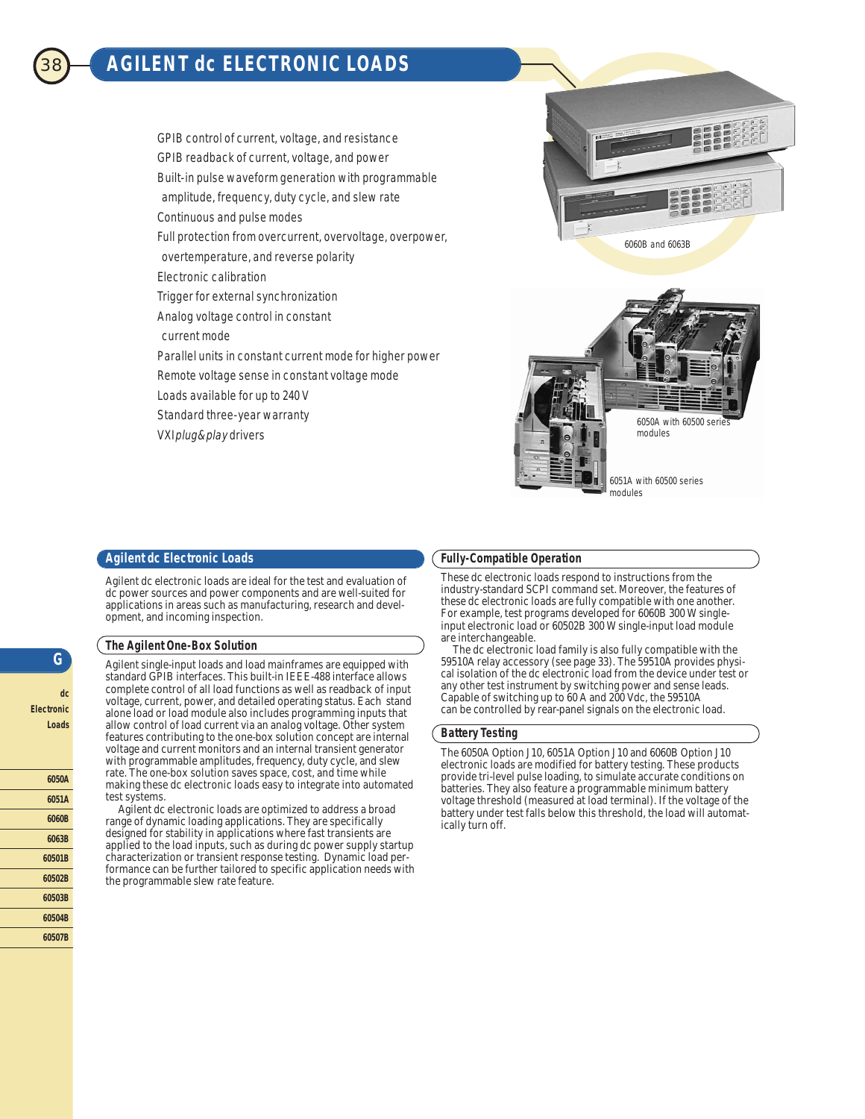# 38 **AGILENT dc ELECTRONIC LOADS**

GPIB control of current, voltage, and resistance GPIB readback of current, voltage, and power Built-in pulse waveform generation with programmable amplitude, frequency, duty cycle, and slew rate Continuous and pulse modes Full protection from overcurrent, overvoltage, overpower, overtemperature, and reverse polarity Electronic calibration Trigger for external synchronization Analog voltage control in constant current mode Parallel units in constant current mode for higher power Remote voltage sense in constant voltage mode Loads available for up to 240 V Standard three-year warranty

6060B and 6063B



# **Agilent dc Electronic Loads**

VXIplug&play drivers

Agilent dc electronic loads are ideal for the test and evaluation of dc power sources and power components and are well-suited for applications in areas such as manufacturing, research and development, and incoming inspection.

### **The Agilent One-Box Solution**

Agilent single-input loads and load mainframes are equipped with standard GPIB interfaces. This built-in IEEE-488 interface allows complete control of all load functions as well as readback of input voltage, current, power, and detailed operating status. Each stand alone load or load module also includes programming inputs that allow control of load current via an analog voltage. Other system features contributing to the one-box solution concept are internal voltage and current monitors and an internal transient generator with programmable amplitudes, frequency, duty cycle, and slew rate. The one-box solution saves space, cost, and time while making these dc electronic loads easy to integrate into automated test systems.

Agilent dc electronic loads are optimized to address a broad range of dynamic loading applications. They are specifically designed for stability in applications where fast transients are applied to the load inputs, such as during dc power supply startup characterization or transient response testing. Dynamic load performance can be further tailored to specific application needs with the programmable slew rate feature.

#### **Fully-Compatible Operation**

These dc electronic loads respond to instructions from the industry-standard SCPI command set. Moreover, the features of these dc electronic loads are fully compatible with one another. For example, test programs developed for 6060B 300 W singleinput electronic load or 60502B 300 W single-input load module are interchangeable.

The dc electronic load family is also fully compatible with the 59510A relay accessory (see page 33). The 59510A provides physical isolation of the dc electronic load from the device under test or any other test instrument by switching power and sense leads. Capable of switching up to 60 A and 200 Vdc, the 59510A can be controlled by rear-panel signals on the electronic load.

### **Battery Testing**

The 6050A Option J10, 6051A Option J10 and 6060B Option J10 electronic loads are modified for battery testing. These products provide tri-level pulse loading, to simulate accurate conditions on batteries. They also feature a programmable minimum battery voltage threshold (measured at load terminal). If the voltage of the battery under test falls below this threshold, the load will automatically turn off.

**G**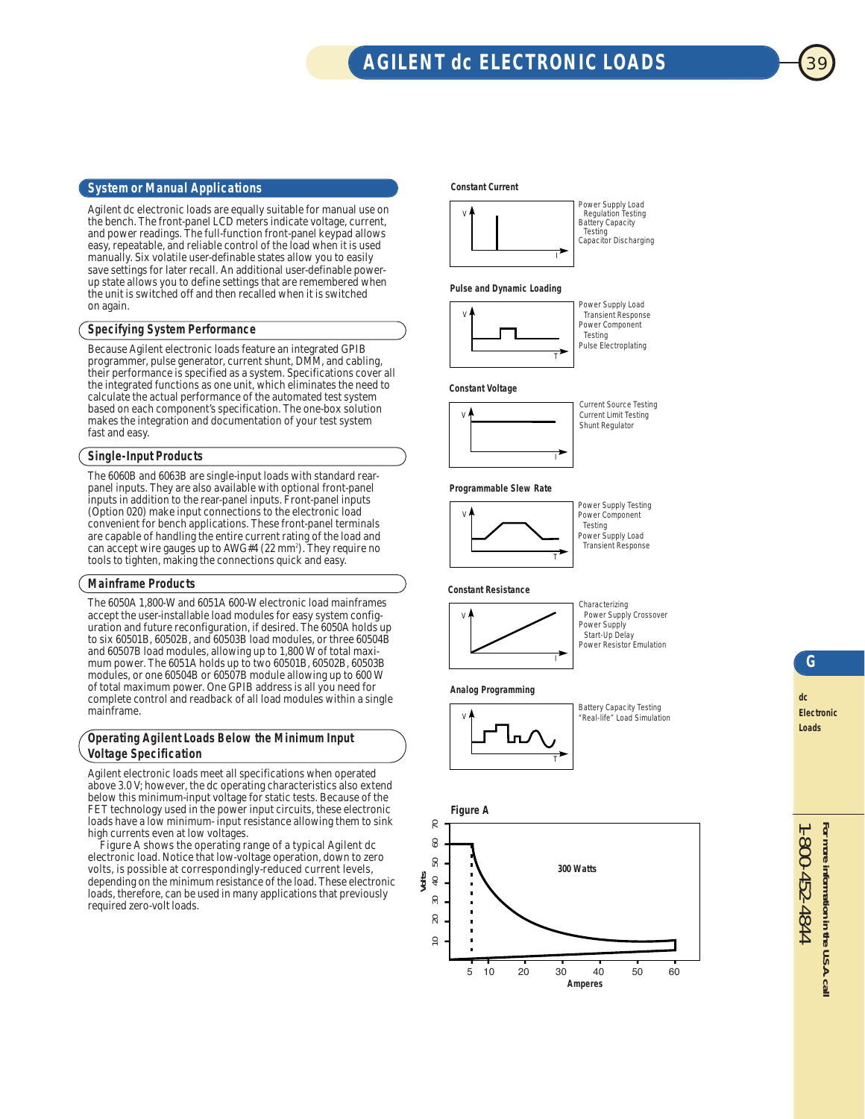# **AGILENT dc ELECTRONIC LOADS**

## **System or Manual Applications**

Agilent dc electronic loads are equally suitable for manual use on the bench. The front-panel LCD meters indicate voltage, current, and power readings. The full-function front-panel keypad allows easy, repeatable, and reliable control of the load when it is used manually. Six volatile user-definable states allow you to easily save settings for later recall. An additional user-definable powerup state allows you to define settings that are remembered when the unit is switched off and then recalled when it is switched on again.

## **Specifying System Performance**

Because Agilent electronic loads feature an integrated GPIB programmer, pulse generator, current shunt, DMM, and cabling, their performance is specified as a system. Specifications cover all the integrated functions as one unit, which eliminates the need to calculate the actual performance of the automated test system based on each component's specification. The one-box solution makes the integration and documentation of your test system fast and easy.

## **Single-Input Products**

The 6060B and 6063B are single-input loads with standard rearpanel inputs. They are also available with optional front-panel inputs in addition to the rear-panel inputs. Front-panel inputs (Option 020) make input connections to the electronic load convenient for bench applications. These front-panel terminals are capable of handling the entire current rating of the load and can accept wire gauges up to AWG#4 (22 mm<sup>2</sup>). They require no tools to tighten, making the connections quick and easy.

#### **Mainframe Products**

The 6050A 1,800-W and 6051A 600-W electronic load mainframes accept the user-installable load modules for easy system configuration and future reconfiguration, if desired. The 6050A holds up to six 60501B, 60502B, and 60503B load modules, or three 60504B and 60507B load modules, allowing up to 1,800 W of total maximum power. The 6051A holds up to two 60501B, 60502B, 60503B modules, or one 60504B or 60507B module allowing up to 600 W of total maximum power. One GPIB address is all you need for complete control and readback of all load modules within a single mainframe.

## **Operating Agilent Loads Below the Minimum Input Voltage Specification**

Agilent electronic loads meet all specifications when operated above 3.0 V; however, the dc operating characteristics also extend below this minimum-input voltage for static tests. Because of the FET technology used in the power input circuits, these electronic loads have a low minimum- input resistance allowing them to sink high currents even at low voltages.

Figure A shows the operating range of a typical Agilent dc electronic load. Notice that low-voltage operation, down to zero volts, is possible at correspondingly-reduced current levels, depending on the minimum resistance of the load. These electronic loads, therefore, can be used in many applications that previously required zero-volt loads.

#### **Constant Current**



### **Pulse and Dynamic Loading**



Power Supply Load Transient Response Power Component Testing Pulse Electroplating

#### **Constant Voltage**



I

Current Source Testing Current Limit Testing Shunt Regulator

#### **Programmable Slew Rate**



Power Supply Testing Power Component Testing Power Supply Load Transient Response

#### **Constant Resistance**



Characterizing Power Supply Crossover Power Supply Start-Up Delay Power Resistor Emulation

#### **Analog Programming**



I

**dc**

#### **Figure A**



**Electronic Loads**

1-800-452-4844

1-800-452-4844

**For more information in the U.S.A. call**

For more information in the U.S.A. call

**G**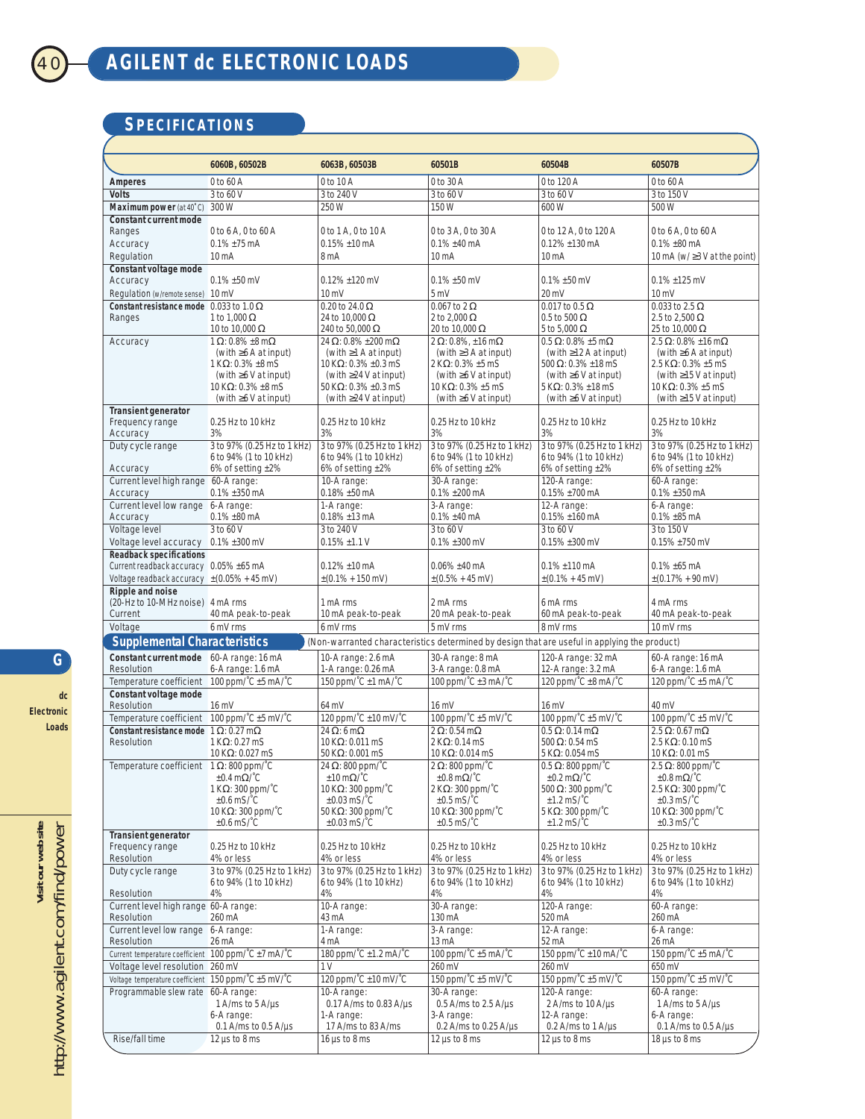# **SPECIFICATIONS**

|                                                                                                                                     | 6060B, 60502B                                             | 6063B, 60503B                                                                | 60501B                                                         | 60504B                                                           | 60507B                                                           |  |  |  |
|-------------------------------------------------------------------------------------------------------------------------------------|-----------------------------------------------------------|------------------------------------------------------------------------------|----------------------------------------------------------------|------------------------------------------------------------------|------------------------------------------------------------------|--|--|--|
| <b>Amperes</b>                                                                                                                      | 0 to 60 A                                                 | 0 to 10 A                                                                    | 0 to 30 A                                                      | 0 to 120 A                                                       | 0 to 60 A                                                        |  |  |  |
| <b>Volts</b>                                                                                                                        | 3 to 60 V                                                 | 3 to 240 V                                                                   | 3 to 60 V                                                      | 3 to 60 V                                                        | 3 to 150 V                                                       |  |  |  |
| Maximum power (at 40°C)                                                                                                             | 300 W                                                     | 250 W                                                                        | 150 W                                                          | 600 W                                                            | 500 W                                                            |  |  |  |
| <b>Constant current mode</b>                                                                                                        |                                                           |                                                                              |                                                                |                                                                  |                                                                  |  |  |  |
| Ranges                                                                                                                              | 0 to 6 A, 0 to 60 A                                       | 0 to 1 A, 0 to 10 A                                                          | 0 to 3 A, 0 to 30 A                                            | 0 to 12 A, 0 to 120 A                                            | 0 to 6 A. 0 to 60 A                                              |  |  |  |
| Accuracy                                                                                                                            | $0.1\% \pm 75$ mA                                         | $0.15\% \pm 10$ mA                                                           | $0.1\% \pm 40$ mA                                              | $0.12\% \pm 130$ mA                                              | $0.1\% \pm 80$ mA                                                |  |  |  |
| Regulation                                                                                                                          | 10 <sub>m</sub> A                                         | 8 <sub>m</sub> A                                                             | 10 mA                                                          | 10 mA                                                            | 10 mA (w/ $\geq$ 3 V at the point)                               |  |  |  |
| <b>Constant voltage mode</b><br>Accuracy                                                                                            | $0.1\% \pm 50$ mV                                         | $0.12\% \pm 120$ mV                                                          | $0.1\% \pm 50$ mV                                              | $0.1\% \pm 50$ mV                                                | $0.1\% \pm 125$ mV                                               |  |  |  |
| Regulation (w/remote sense) 10 mV                                                                                                   |                                                           | $10 \text{ mV}$                                                              | 5 mV                                                           | 20 mV                                                            | $10 \text{ mV}$                                                  |  |  |  |
| Constant resistance mode 0.033 to 1.0 $\Omega$                                                                                      |                                                           | 0.20 to 24.0 $\Omega$                                                        | 0.067 to 2 $\Omega$                                            | $0.017$ to $0.5 \Omega$                                          | 0.033 to 2.5 $\Omega$                                            |  |  |  |
| Ranges                                                                                                                              | 1 to 1,000 $\Omega$                                       | 24 to 10,000 $\Omega$                                                        | 2 to 2.000 $\Omega$                                            | $0.5$ to 500 $\Omega$                                            | 2.5 to 2.500 $\Omega$                                            |  |  |  |
|                                                                                                                                     | 10 to 10,000 $\Omega$                                     | 240 to 50.000 Ω                                                              | 20 to 10,000 $\Omega$                                          | 5 to 5,000 $\Omega$                                              | 25 to 10,000 Ω                                                   |  |  |  |
| Accuracy                                                                                                                            | 1 $\Omega$ : 0.8% ±8 m $\Omega$                           | 24 $\Omega$ : 0.8% ± 200 m $\Omega$                                          | $2 \Omega$ : 0.8%, ±16 m $\Omega$                              | $0.5 \Omega$ : 0.8% ±5 m $\Omega$                                | $2.5 \Omega$ : 0.8% ±16 m $\Omega$                               |  |  |  |
|                                                                                                                                     | (with $\geq 6$ A at input)                                | (with $\geq$ 1 A at input)                                                   | (with $\geq$ 3 A at input)                                     | (with $\geq$ 12 A at input)                                      | (with $\geq 6$ A at input)                                       |  |  |  |
|                                                                                                                                     | $1$ K $\Omega$ : 0.3% ±8 mS<br>(with $\geq 6$ V at input) | 10 K $\Omega$ : 0.3% ±0.3 mS<br>(with $\geq$ 24 V at input)                  | $2$ K $\Omega$ : 0.3% $\pm$ 5 mS<br>(with $\geq 6$ V at input) | 500 $\Omega$ : 0.3% ±18 mS<br>(with $\geq 6$ V at input)         | 2.5 KΩ: 0.3% ±5 mS<br>(with $\geq$ 15 V at input)                |  |  |  |
|                                                                                                                                     | 10 K $\Omega$ : 0.3% ±8 mS                                | 50 K $\Omega$ : 0.3% ±0.3 mS                                                 | 10 K $\Omega$ : 0.3% ±5 mS                                     | $5$ K $\Omega$ : 0.3% ±18 mS                                     | 10 K $\Omega$ : 0.3% ±5 mS                                       |  |  |  |
|                                                                                                                                     | (with $\geq 6$ V at input)                                | (with $\geq$ 24 V at input)                                                  | (with $\geq 6$ V at input)                                     | (with $\geq 6$ V at input)                                       | (with $\geq$ 15 V at input)                                      |  |  |  |
| <b>Transient generator</b>                                                                                                          |                                                           |                                                                              |                                                                |                                                                  |                                                                  |  |  |  |
| Frequency range                                                                                                                     | 0.25 Hz to 10 kHz                                         | 0.25 Hz to 10 kHz                                                            | 0.25 Hz to 10 kHz                                              | 0.25 Hz to 10 kHz<br>3%                                          | 0.25 Hz to 10 kHz                                                |  |  |  |
| Accuracy<br>Duty cycle range                                                                                                        | 3%<br>3 to 97% (0.25 Hz to 1 kHz)                         | 3%<br>3 to 97% (0.25 Hz to 1 kHz)                                            | 3%<br>3 to 97% (0.25 Hz to 1 kHz)                              | 3 to 97% (0.25 Hz to 1 kHz)                                      | 3%<br>3 to 97% (0.25 Hz to 1 kHz)                                |  |  |  |
|                                                                                                                                     | 6 to 94% (1 to 10 kHz)                                    | 6 to 94% (1 to 10 kHz)                                                       | 6 to 94% (1 to 10 kHz)                                         | 6 to 94% (1 to 10 kHz)                                           | 6 to 94% (1 to 10 kHz)                                           |  |  |  |
| Accuracy                                                                                                                            | 6% of setting $\pm 2\%$                                   | 6% of setting $±2%$                                                          | 6% of setting $\pm 2\%$                                        | 6% of setting $±2%$                                              | 6% of setting $\pm 2\%$                                          |  |  |  |
| Current level high range 60-A range:                                                                                                |                                                           | 10-A range:                                                                  | 30-A range:                                                    | 120-A range:                                                     | 60-A range:                                                      |  |  |  |
| Accuracy                                                                                                                            | $0.1\% \pm 350$ mA                                        | $0.18\% \pm 50$ mA                                                           | $0.1\% \pm 200$ mA                                             | $0.15\% \pm 700$ mA                                              | $0.1\% \pm 350$ mA                                               |  |  |  |
| Current level low range 6-A range:                                                                                                  |                                                           | 1-A range:                                                                   | 3-A range:                                                     | 12-A range:                                                      | 6-A range:                                                       |  |  |  |
| Accuracy                                                                                                                            | $0.1\% \pm 80$ mA                                         | $0.18\% \pm 13 \text{ mA}$<br>3 to 240 V                                     | $0.1\% \pm 40$ mA                                              | $0.15\% \pm 160$ mA                                              | $0.1\% \pm 85$ mA                                                |  |  |  |
| Voltage level<br>Voltage level accuracy 0.1% ±300 mV                                                                                | 3 to 60 V                                                 | $0.15\% \pm 1.1 V$                                                           | 3 to 60 V<br>$0.1\% \pm 300$ mV                                | 3 to 60 V<br>$0.15\% \pm 300$ mV                                 | 3 to 150 V<br>$0.15\% \pm 750$ mV                                |  |  |  |
| <b>Readback specifications</b>                                                                                                      |                                                           |                                                                              |                                                                |                                                                  |                                                                  |  |  |  |
| Current readback accuracy 0.05% ±65 mA                                                                                              |                                                           | $0.12\% \pm 10$ mA                                                           | $0.06\% \pm 40$ mA                                             | $0.1\% \pm 110$ mA                                               | $0.1\% \pm 65$ mA                                                |  |  |  |
| Voltage readback accuracy $\pm (0.05\% + 45 \text{ mV})$                                                                            |                                                           | $\pm (0.1\% + 150 \text{ mV})$                                               | $\pm (0.5\% + 45 \text{ mV})$                                  | $\pm (0.1\% + 45 \text{ mV})$                                    | $\pm (0.17\% + 90 \text{ mV})$                                   |  |  |  |
| Ripple and noise                                                                                                                    |                                                           |                                                                              |                                                                |                                                                  |                                                                  |  |  |  |
| (20-Hz to 10-MHz noise) 4 mA rms                                                                                                    |                                                           | 1 mA rms                                                                     | 2 mA rms                                                       | 6 mA rms                                                         | 4 mA rms                                                         |  |  |  |
| Current                                                                                                                             | 40 mA peak-to-peak                                        | 10 mA peak-to-peak                                                           | 20 mA peak-to-peak                                             | 60 mA peak-to-peak                                               | 40 mA peak-to-peak                                               |  |  |  |
| Voltage                                                                                                                             | 6 mV rms                                                  | 6 mV rms                                                                     | 5 mV rms                                                       | 8 mV rms                                                         | 10 mV rms                                                        |  |  |  |
| <b>Supplemental Characteristics</b><br>(Non-warranted characteristics determined by design that are useful in applying the product) |                                                           |                                                                              |                                                                |                                                                  |                                                                  |  |  |  |
| Constant current mode 60-A range: 16 mA<br>Resolution                                                                               |                                                           | 10-A range: 2.6 mA                                                           | 30-A range: 8 mA                                               | 120-A range: 32 mA                                               | 60-A range: 16 mA                                                |  |  |  |
| Temperature coefficient 100 ppm/ $^{\circ}$ C ±5 mA/ $^{\circ}$ C                                                                   | 6-A range: 1.6 mA                                         | 1-A range: 0.26 mA<br>150 ppm/°C ±1 mA/°C                                    | 3-A range: 0.8 mA<br>100 ppm/^C ±3 mA/^C                       | 12-A range: 3.2 mA<br>120 ppm/°C ±8 mA/°C                        | 6-A range: 1.6 mA<br>120 ppm/^C ±5 mA/^C                         |  |  |  |
| Constant voltage mode                                                                                                               |                                                           |                                                                              |                                                                |                                                                  |                                                                  |  |  |  |
| Resolution                                                                                                                          | $16 \text{ mV}$                                           | 64 mV                                                                        | 16 mV                                                          | 16 mV                                                            | 40 mV                                                            |  |  |  |
| Temperature coefficient 100 ppm/ $^{\circ}$ C ±5 mV/ $^{\circ}$ C                                                                   |                                                           | 120 ppm/°C ±10 mV/°C                                                         | 100 ppm/°C ±5 mV/°C                                            | 100 ppm/°C ±5 mV/°C                                              | 100 ppm/^C ±5 mV/^C                                              |  |  |  |
| Constant resistance mode $1 \Omega$ : 0.27 m $\Omega$                                                                               |                                                           | 24 $\Omega$ : 6 m $\Omega$                                                   | $2 \Omega$ : 0.54 m $\Omega$                                   | $0.5 \Omega$ : 0.14 m $\Omega$                                   | $2.5 \Omega$ : 0.67 m $\Omega$                                   |  |  |  |
| Resolution                                                                                                                          | $1$ K $\Omega$ : 0.27 mS                                  | $10$ K $\Omega$ : 0.011 mS                                                   | $2$ K $\Omega$ : 0.14 mS                                       | 500 $\Omega$ : 0.54 mS                                           | $2.5$ K $\Omega$ : 0.10 mS                                       |  |  |  |
|                                                                                                                                     | $10$ KΩ: 0.027 mS                                         | $50$ K $\Omega$ : 0.001 mS                                                   | $10$ K $\Omega$ : 0.014 mS                                     | $5$ K $\Omega$ : 0.054 mS                                        | 10 K $\Omega$ : 0.01 mS                                          |  |  |  |
| Temperature coefficient $1 \Omega$ : 800 ppm/ $^{\circ}$ C                                                                          | $\pm 0.4$ m $\Omega$ /°C                                  | 24 $\Omega$ : 800 ppm/ $\degree$ C<br>$\pm 10 \,\mathrm{m}\Omega/\mathrm{C}$ | $2 \Omega$ : 800 ppm/ $^{\circ}$ C<br>$\pm 0.8$ m $\Omega$ /°C | $0.5 \Omega$ : 800 ppm/ $^{\circ}$ C<br>$\pm 0.2$ m $\Omega$ /°C | $2.5 \Omega$ : 800 ppm/ $^{\circ}$ C<br>$\pm 0.8$ m $\Omega$ /°C |  |  |  |
|                                                                                                                                     | 1 K $\Omega$ : 300 ppm/ $\degree$ C                       | 10 K $\Omega$ : 300 ppm/ $\Gamma$ C                                          | $2$ K $\Omega$ : 300 ppm/ $\Gamma$ C                           | 500 $\Omega$ : 300 ppm/°C                                        | 2.5 K $\Omega$ : 300 ppm/°C                                      |  |  |  |
|                                                                                                                                     | $\pm 0.6$ mS/ $\degree$ C                                 | $\pm 0.03$ mS/ $\degree$ C                                                   | $\pm 0.5$ mS/ $\degree$ C                                      | $±1.2$ mS/ $°C$                                                  | $\pm 0.3$ mS/ $\degree$ C                                        |  |  |  |
|                                                                                                                                     | 10 K $\Omega$ : 300 ppm/ $\degree$ C                      | 50 K $\Omega$ : 300 ppm/ $\degree$ C                                         | 10 K $\Omega$ : 300 ppm/ $\degree$ C                           | 5 K $\Omega$ : 300 ppm/ $\Gamma$ C                               | 10 K $\Omega$ : 300 ppm/ $\degree$ C                             |  |  |  |
| <b>Transient generator</b>                                                                                                          | $\pm 0.6$ mS/ $\degree$ C                                 | $\pm 0.03$ mS/ $\degree$ C                                                   | $±0.5$ mS/ $°C$                                                | $±1.2$ mS/ $°C$                                                  | $\pm 0.3$ mS/ $\degree$ C                                        |  |  |  |
| Frequency range                                                                                                                     | 0.25 Hz to 10 kHz                                         | 0.25 Hz to 10 kHz                                                            | 0.25 Hz to 10 kHz                                              | 0.25 Hz to 10 kHz                                                | 0.25 Hz to 10 kHz                                                |  |  |  |
| Resolution                                                                                                                          | 4% or less                                                | 4% or less                                                                   | 4% or less                                                     | 4% or less                                                       | 4% or less                                                       |  |  |  |
| Duty cycle range                                                                                                                    | 3 to 97% (0.25 Hz to 1 kHz)                               | 3 to 97% (0.25 Hz to 1 kHz)                                                  | 3 to 97% (0.25 Hz to 1 kHz)                                    | 3 to 97% (0.25 Hz to 1 kHz)                                      | 3 to 97% (0.25 Hz to 1 kHz)                                      |  |  |  |
|                                                                                                                                     | 6 to 94% (1 to 10 kHz)                                    | 6 to 94% (1 to 10 kHz)                                                       | 6 to 94% (1 to 10 kHz)                                         | 6 to 94% (1 to 10 kHz)                                           | 6 to 94% (1 to 10 kHz)                                           |  |  |  |
| Resolution<br>Current level high range 60-A range:                                                                                  | 4%                                                        | 4%<br>10-A range:                                                            | 4%<br>30-A range:                                              | 4%<br>120-A range:                                               | 4%<br>60-A range:                                                |  |  |  |
| Resolution                                                                                                                          | 260 mA                                                    | 43 mA                                                                        | 130 mA                                                         | 520 mA                                                           | 260 mA                                                           |  |  |  |
| Current level low range 6-A range:                                                                                                  |                                                           | 1-A range:                                                                   | 3-A range:                                                     | 12-A range:                                                      | 6-A range:                                                       |  |  |  |
| Resolution                                                                                                                          | 26 mA                                                     | 4 mA                                                                         | 13 mA                                                          | 52 mA                                                            | 26 mA                                                            |  |  |  |
| Current temperature coefficient 100 ppm/°C ±7 mA/°C                                                                                 |                                                           | 180 ppm/°C ±1.2 mA/°C                                                        | 100 ppm/°C ±5 mA/°C                                            | 150 ppm/°C ±10 mA/°C                                             | 150 ppm/^C ±5 mA/^C                                              |  |  |  |
| Voltage level resolution 260 mV                                                                                                     |                                                           | 1 <sub>V</sub>                                                               | 260 mV                                                         | 260 mV                                                           | 650 mV                                                           |  |  |  |
| Voltage temperature coefficient 150 ppm/°C ±5 mV/°C                                                                                 |                                                           | 120 ppm/°C ±10 mV/°C                                                         | 150 ppm/°C ±5 mV/°C                                            | 150 ppm/°C ±5 mV/°C                                              | 150 ppm/ $^{\circ}$ C $\pm$ 5 mV/ $^{\circ}$ C                   |  |  |  |
| Programmable slew rate 60-A range:                                                                                                  |                                                           | 10-A range:                                                                  | 30-A range:                                                    | 120-A range:                                                     | 60-A range:                                                      |  |  |  |
|                                                                                                                                     | 1 A/ms to $5$ A/ $\mu$ s<br>6-A range:                    | $0.17$ A/ms to 0.83 A/µs<br>1-A range:                                       | $0.5$ A/ms to 2.5 A/µs<br>3-A range:                           | 2 A/ms to 10 A/µs<br>12-A range:                                 | 1 A/ms to 5 A/ $\mu$ s<br>6-A range:                             |  |  |  |
|                                                                                                                                     | $0.1$ A/ms to $0.5$ A/ $\mu$ s                            | 17 A/ms to 83 A/ms                                                           | 0.2 A/ms to 0.25 A/ $\mu$ s                                    | $0.2$ A/ms to 1 A/µs                                             | $0.1$ A/ms to $0.5$ A/µs                                         |  |  |  |
| Rise/fall time                                                                                                                      | $12 \mu s$ to 8 ms                                        | $16 \mu s$ to 8 ms                                                           | $12 \mu s$ to 8 ms                                             | $12 \mu s$ to 8 ms                                               | $18 \mu s$ to $8 \text{ ms}$                                     |  |  |  |
|                                                                                                                                     |                                                           |                                                                              |                                                                |                                                                  |                                                                  |  |  |  |

**G dc** 

**Loads**

**Electronic**